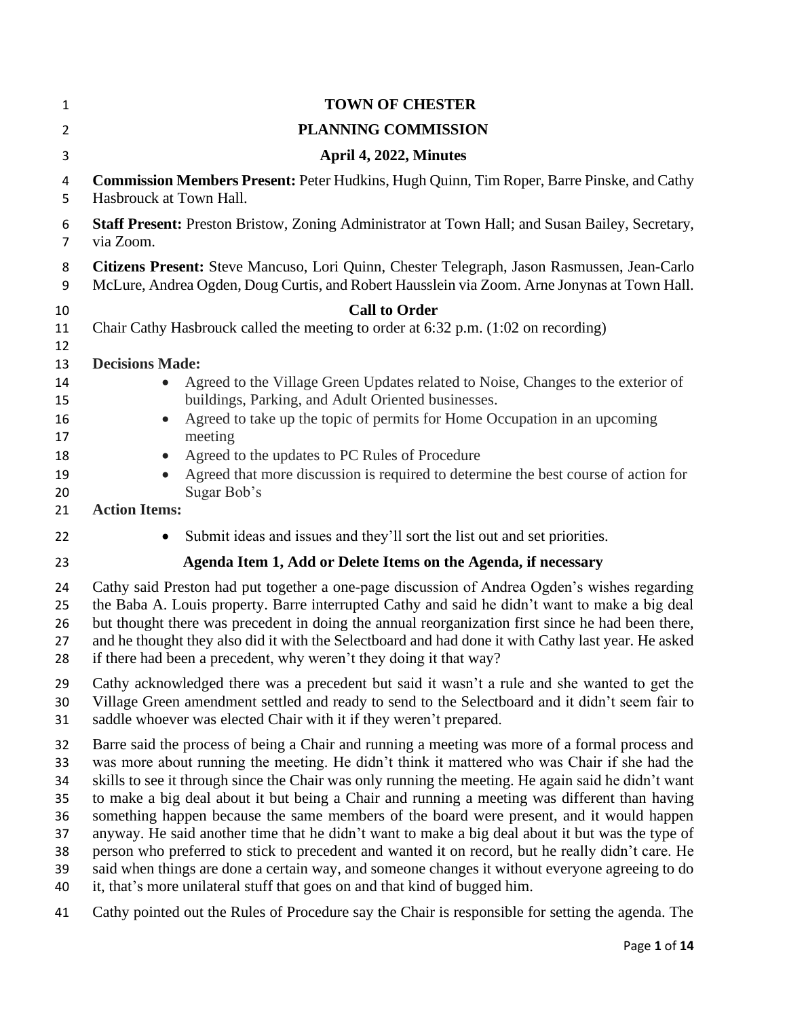| 1              | <b>TOWN OF CHESTER</b>                                                                              |
|----------------|-----------------------------------------------------------------------------------------------------|
| $\overline{2}$ | PLANNING COMMISSION                                                                                 |
| 3              | April 4, 2022, Minutes                                                                              |
| 4              | <b>Commission Members Present: Peter Hudkins, Hugh Quinn, Tim Roper, Barre Pinske, and Cathy</b>    |
| 5              | Hasbrouck at Town Hall.                                                                             |
| 6              | Staff Present: Preston Bristow, Zoning Administrator at Town Hall; and Susan Bailey, Secretary,     |
| 7              | via Zoom.                                                                                           |
| 8              | Citizens Present: Steve Mancuso, Lori Quinn, Chester Telegraph, Jason Rasmussen, Jean-Carlo         |
| 9              | McLure, Andrea Ogden, Doug Curtis, and Robert Hausslein via Zoom. Arne Jonynas at Town Hall.        |
| 10             | <b>Call to Order</b>                                                                                |
| 11             | Chair Cathy Hasbrouck called the meeting to order at 6:32 p.m. (1:02 on recording)                  |
| 12<br>13       | <b>Decisions Made:</b>                                                                              |
| 14             | Agreed to the Village Green Updates related to Noise, Changes to the exterior of                    |
| 15             | buildings, Parking, and Adult Oriented businesses.                                                  |
| 16             | Agreed to take up the topic of permits for Home Occupation in an upcoming                           |
| 17             | meeting                                                                                             |
| 18             | Agreed to the updates to PC Rules of Procedure                                                      |
| 19             | Agreed that more discussion is required to determine the best course of action for                  |
| 20             | Sugar Bob's                                                                                         |
| 21             | <b>Action Items:</b>                                                                                |
| 22             | Submit ideas and issues and they'll sort the list out and set priorities.                           |
| 23             | Agenda Item 1, Add or Delete Items on the Agenda, if necessary                                      |
| 24             | Cathy said Preston had put together a one-page discussion of Andrea Ogden's wishes regarding        |
| 25             | the Baba A. Louis property. Barre interrupted Cathy and said he didn't want to make a big deal      |
| 26             | but thought there was precedent in doing the annual reorganization first since he had been there,   |
| 27             | and he thought they also did it with the Selectboard and had done it with Cathy last year. He asked |
| 28             | if there had been a precedent, why weren't they doing it that way?                                  |
| 29             | Cathy acknowledged there was a precedent but said it wasn't a rule and she wanted to get the        |
| 30             | Village Green amendment settled and ready to send to the Selectboard and it didn't seem fair to     |
| 31             | saddle whoever was elected Chair with it if they weren't prepared.                                  |
| 32             | Barre said the process of being a Chair and running a meeting was more of a formal process and      |
| 33             | was more about running the meeting. He didn't think it mattered who was Chair if she had the        |
| 34             | skills to see it through since the Chair was only running the meeting. He again said he didn't want |
| 35             | to make a big deal about it but being a Chair and running a meeting was different than having       |
| 36             | something happen because the same members of the board were present, and it would happen            |
| 37             | anyway. He said another time that he didn't want to make a big deal about it but was the type of    |
| 38             | person who preferred to stick to precedent and wanted it on record, but he really didn't care. He   |
| 39             | said when things are done a certain way, and someone changes it without everyone agreeing to do     |
| 40             | it, that's more unilateral stuff that goes on and that kind of bugged him.                          |
| 41             | Cathy pointed out the Rules of Procedure say the Chair is responsible for setting the agenda. The   |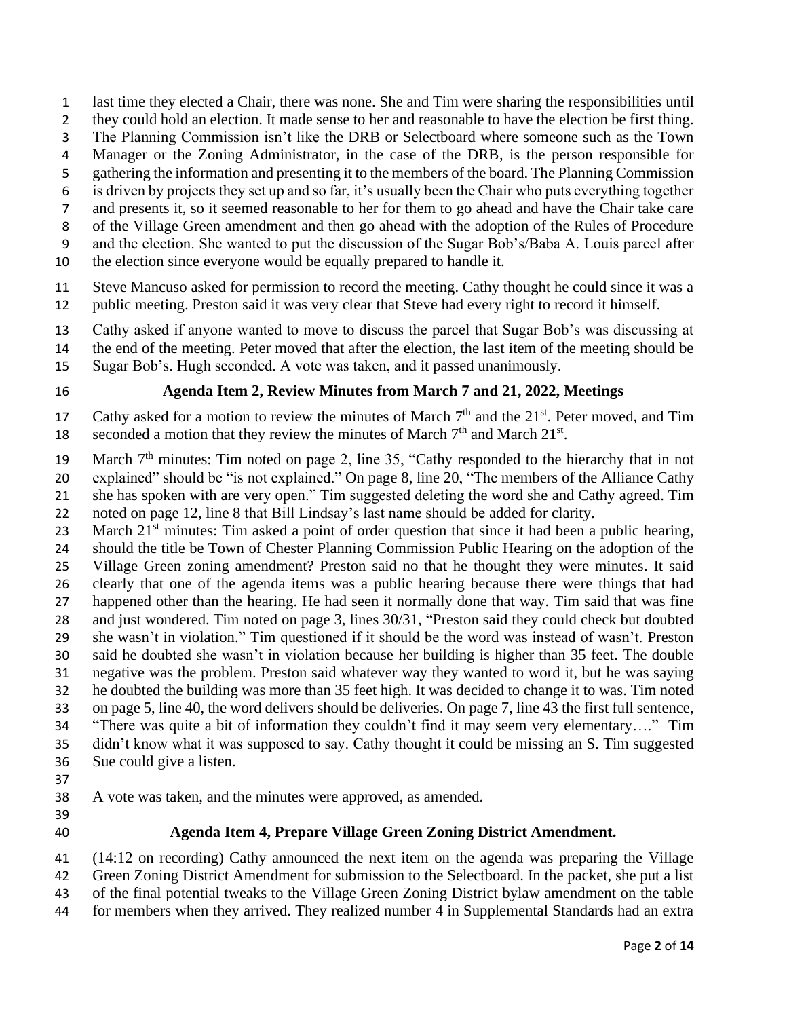- last time they elected a Chair, there was none. She and Tim were sharing the responsibilities until
- they could hold an election. It made sense to her and reasonable to have the election be first thing.
- The Planning Commission isn't like the DRB or Selectboard where someone such as the Town
- Manager or the Zoning Administrator, in the case of the DRB, is the person responsible for
- gathering the information and presenting it to the members of the board. The Planning Commission
- is driven by projects they set up and so far, it's usually been the Chair who puts everything together
- and presents it, so it seemed reasonable to her for them to go ahead and have the Chair take care
- of the Village Green amendment and then go ahead with the adoption of the Rules of Procedure
- and the election. She wanted to put the discussion of the Sugar Bob's/Baba A. Louis parcel after
- the election since everyone would be equally prepared to handle it.
- Steve Mancuso asked for permission to record the meeting. Cathy thought he could since it was a public meeting. Preston said it was very clear that Steve had every right to record it himself.
- Cathy asked if anyone wanted to move to discuss the parcel that Sugar Bob's was discussing at
- the end of the meeting. Peter moved that after the election, the last item of the meeting should be
- Sugar Bob's. Hugh seconded. A vote was taken, and it passed unanimously.

# **Agenda Item 2, Review Minutes from March 7 and 21, 2022, Meetings**

17 Cathy asked for a motion to review the minutes of March  $7<sup>th</sup>$  and the  $21<sup>st</sup>$ . Peter moved, and Tim seconded a motion that they review the minutes of March  $7<sup>th</sup>$  and March  $21<sup>st</sup>$ .

19 March  $7<sup>th</sup>$  minutes: Tim noted on page 2, line 35, "Cathy responded to the hierarchy that in not explained" should be "is not explained." On page 8, line 20, "The members of the Alliance Cathy she has spoken with are very open." Tim suggested deleting the word she and Cathy agreed. Tim noted on page 12, line 8 that Bill Lindsay's last name should be added for clarity.

23 March  $21<sup>st</sup>$  minutes: Tim asked a point of order question that since it had been a public hearing, should the title be Town of Chester Planning Commission Public Hearing on the adoption of the Village Green zoning amendment? Preston said no that he thought they were minutes. It said clearly that one of the agenda items was a public hearing because there were things that had happened other than the hearing. He had seen it normally done that way. Tim said that was fine and just wondered. Tim noted on page 3, lines 30/31, "Preston said they could check but doubted she wasn't in violation." Tim questioned if it should be the word was instead of wasn't. Preston said he doubted she wasn't in violation because her building is higher than 35 feet. The double negative was the problem. Preston said whatever way they wanted to word it, but he was saying he doubted the building was more than 35 feet high. It was decided to change it to was. Tim noted on page 5, line 40, the word delivers should be deliveries. On page 7, line 43 the first full sentence, "There was quite a bit of information they couldn't find it may seem very elementary…." Tim

- didn't know what it was supposed to say. Cathy thought it could be missing an S. Tim suggested
- Sue could give a listen.
- 
- A vote was taken, and the minutes were approved, as amended.
- 
- 

# **Agenda Item 4, Prepare Village Green Zoning District Amendment.**

(14:12 on recording) Cathy announced the next item on the agenda was preparing the Village

Green Zoning District Amendment for submission to the Selectboard. In the packet, she put a list

- of the final potential tweaks to the Village Green Zoning District bylaw amendment on the table
- for members when they arrived. They realized number 4 in Supplemental Standards had an extra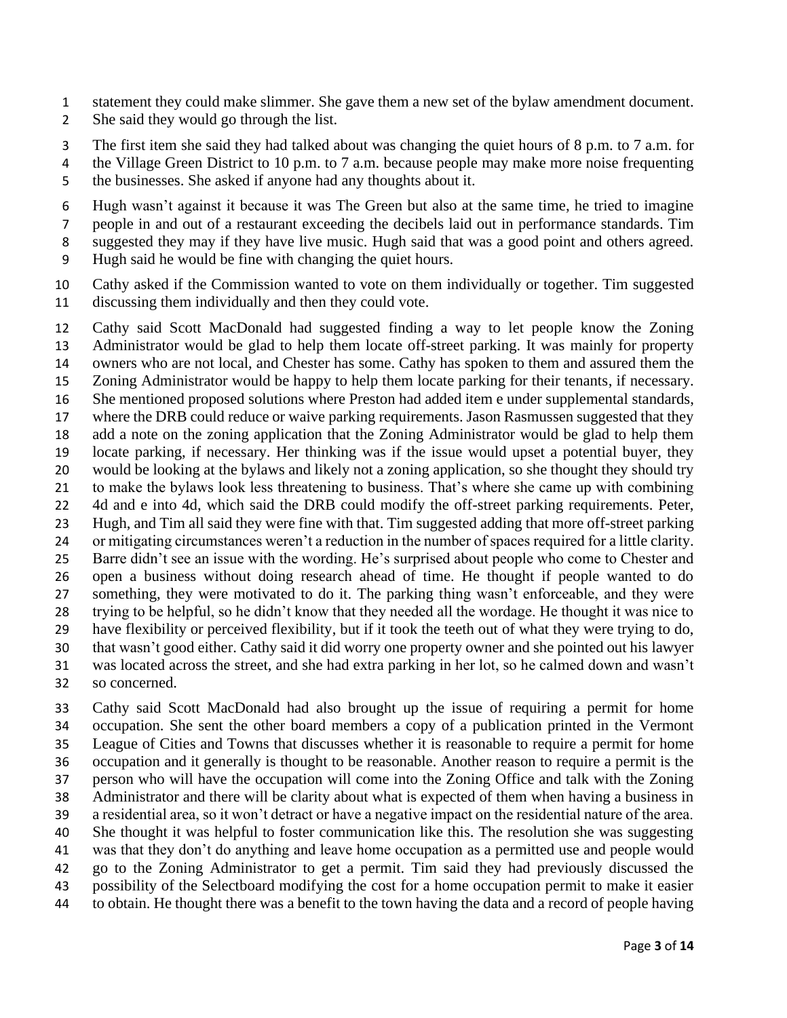- statement they could make slimmer. She gave them a new set of the bylaw amendment document.
- She said they would go through the list.
- The first item she said they had talked about was changing the quiet hours of 8 p.m. to 7 a.m. for
- 4 the Village Green District to 10 p.m. to 7 a.m. because people may make more noise frequenting the businesses. She asked if anyone had any thoughts about it.
- Hugh wasn't against it because it was The Green but also at the same time, he tried to imagine
- people in and out of a restaurant exceeding the decibels laid out in performance standards. Tim
- 8 suggested they may if they have live music. Hugh said that was a good point and others agreed.
- Hugh said he would be fine with changing the quiet hours.
- Cathy asked if the Commission wanted to vote on them individually or together. Tim suggested discussing them individually and then they could vote.
- Cathy said Scott MacDonald had suggested finding a way to let people know the Zoning Administrator would be glad to help them locate off-street parking. It was mainly for property owners who are not local, and Chester has some. Cathy has spoken to them and assured them the Zoning Administrator would be happy to help them locate parking for their tenants, if necessary. She mentioned proposed solutions where Preston had added item e under supplemental standards, where the DRB could reduce or waive parking requirements. Jason Rasmussen suggested that they add a note on the zoning application that the Zoning Administrator would be glad to help them locate parking, if necessary. Her thinking was if the issue would upset a potential buyer, they would be looking at the bylaws and likely not a zoning application, so she thought they should try to make the bylaws look less threatening to business. That's where she came up with combining 4d and e into 4d, which said the DRB could modify the off-street parking requirements. Peter, Hugh, and Tim all said they were fine with that. Tim suggested adding that more off-street parking or mitigating circumstances weren't a reduction in the number of spaces required for a little clarity. Barre didn't see an issue with the wording. He's surprised about people who come to Chester and open a business without doing research ahead of time. He thought if people wanted to do something, they were motivated to do it. The parking thing wasn't enforceable, and they were trying to be helpful, so he didn't know that they needed all the wordage. He thought it was nice to have flexibility or perceived flexibility, but if it took the teeth out of what they were trying to do, that wasn't good either. Cathy said it did worry one property owner and she pointed out his lawyer was located across the street, and she had extra parking in her lot, so he calmed down and wasn't so concerned.
- Cathy said Scott MacDonald had also brought up the issue of requiring a permit for home occupation. She sent the other board members a copy of a publication printed in the Vermont League of Cities and Towns that discusses whether it is reasonable to require a permit for home occupation and it generally is thought to be reasonable. Another reason to require a permit is the person who will have the occupation will come into the Zoning Office and talk with the Zoning Administrator and there will be clarity about what is expected of them when having a business in a residential area, so it won't detract or have a negative impact on the residential nature of the area. She thought it was helpful to foster communication like this. The resolution she was suggesting was that they don't do anything and leave home occupation as a permitted use and people would go to the Zoning Administrator to get a permit. Tim said they had previously discussed the possibility of the Selectboard modifying the cost for a home occupation permit to make it easier to obtain. He thought there was a benefit to the town having the data and a record of people having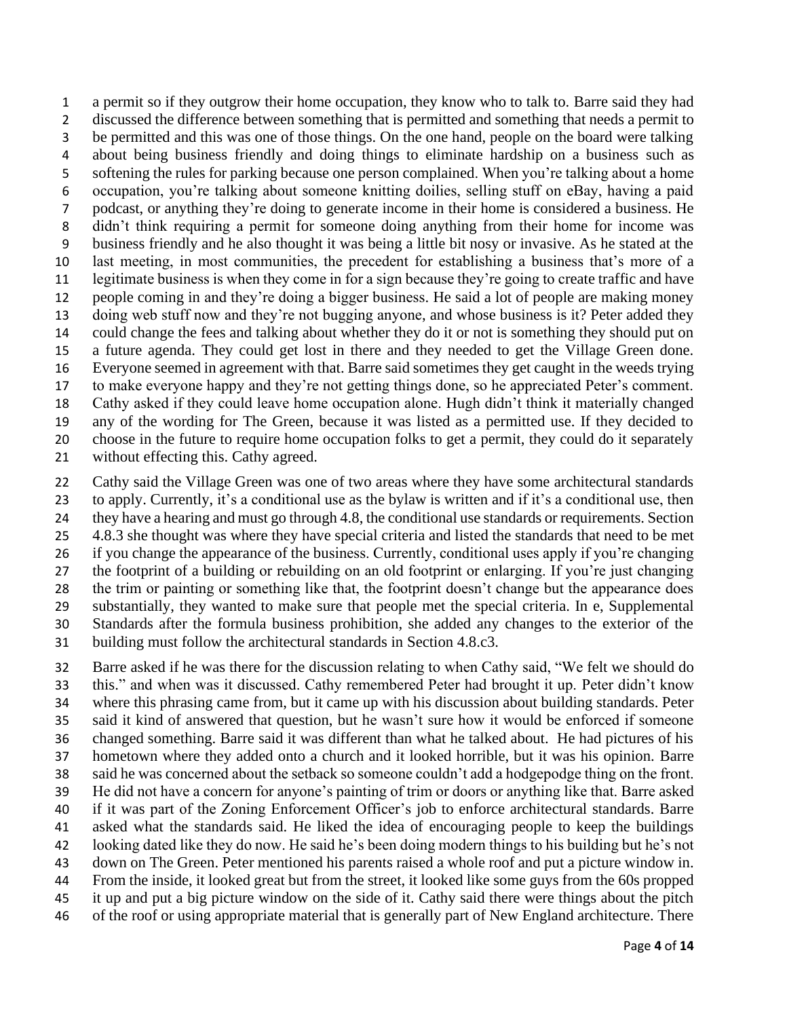a permit so if they outgrow their home occupation, they know who to talk to. Barre said they had discussed the difference between something that is permitted and something that needs a permit to be permitted and this was one of those things. On the one hand, people on the board were talking about being business friendly and doing things to eliminate hardship on a business such as softening the rules for parking because one person complained. When you're talking about a home occupation, you're talking about someone knitting doilies, selling stuff on eBay, having a paid podcast, or anything they're doing to generate income in their home is considered a business. He didn't think requiring a permit for someone doing anything from their home for income was business friendly and he also thought it was being a little bit nosy or invasive. As he stated at the last meeting, in most communities, the precedent for establishing a business that's more of a legitimate business is when they come in for a sign because they're going to create traffic and have people coming in and they're doing a bigger business. He said a lot of people are making money doing web stuff now and they're not bugging anyone, and whose business is it? Peter added they could change the fees and talking about whether they do it or not is something they should put on a future agenda. They could get lost in there and they needed to get the Village Green done. Everyone seemed in agreement with that. Barre said sometimes they get caught in the weeds trying to make everyone happy and they're not getting things done, so he appreciated Peter's comment. Cathy asked if they could leave home occupation alone. Hugh didn't think it materially changed any of the wording for The Green, because it was listed as a permitted use. If they decided to choose in the future to require home occupation folks to get a permit, they could do it separately without effecting this. Cathy agreed.

 Cathy said the Village Green was one of two areas where they have some architectural standards to apply. Currently, it's a conditional use as the bylaw is written and if it's a conditional use, then they have a hearing and must go through 4.8, the conditional use standards or requirements. Section 4.8.3 she thought was where they have special criteria and listed the standards that need to be met if you change the appearance of the business. Currently, conditional uses apply if you're changing the footprint of a building or rebuilding on an old footprint or enlarging. If you're just changing the trim or painting or something like that, the footprint doesn't change but the appearance does substantially, they wanted to make sure that people met the special criteria. In e, Supplemental Standards after the formula business prohibition, she added any changes to the exterior of the 31 building must follow the architectural standards in Section 4.8.c3.

 Barre asked if he was there for the discussion relating to when Cathy said, "We felt we should do this." and when was it discussed. Cathy remembered Peter had brought it up. Peter didn't know where this phrasing came from, but it came up with his discussion about building standards. Peter said it kind of answered that question, but he wasn't sure how it would be enforced if someone changed something. Barre said it was different than what he talked about. He had pictures of his hometown where they added onto a church and it looked horrible, but it was his opinion. Barre said he was concerned about the setback so someone couldn't add a hodgepodge thing on the front. He did not have a concern for anyone's painting of trim or doors or anything like that. Barre asked if it was part of the Zoning Enforcement Officer's job to enforce architectural standards. Barre asked what the standards said. He liked the idea of encouraging people to keep the buildings looking dated like they do now. He said he's been doing modern things to his building but he's not down on The Green. Peter mentioned his parents raised a whole roof and put a picture window in. From the inside, it looked great but from the street, it looked like some guys from the 60s propped it up and put a big picture window on the side of it. Cathy said there were things about the pitch of the roof or using appropriate material that is generally part of New England architecture. There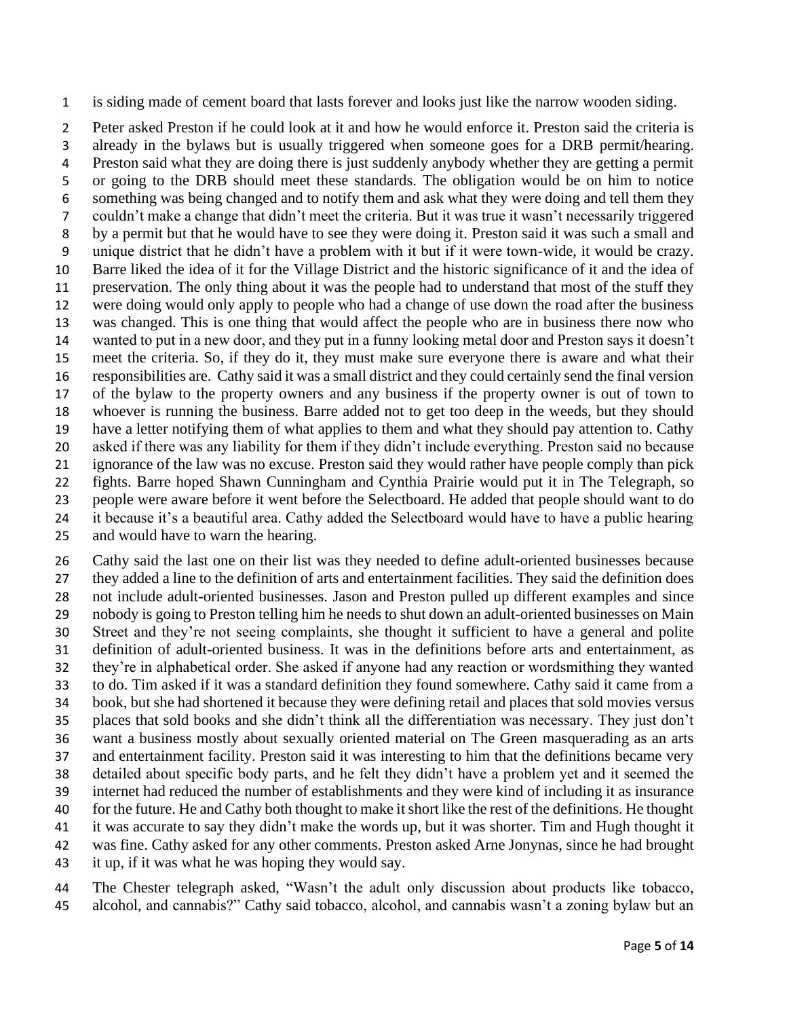is siding made of cement board that lasts forever and looks just like the narrow wooden siding.

 Peter asked Preston if he could look at it and how he would enforce it. Preston said the criteria is already in the bylaws but is usually triggered when someone goes for a DRB permit/hearing. Preston said what they are doing there is just suddenly anybody whether they are getting a permit or going to the DRB should meet these standards. The obligation would be on him to notice something was being changed and to notify them and ask what they were doing and tell them they couldn't make a change that didn't meet the criteria. But it was true it wasn't necessarily triggered by a permit but that he would have to see they were doing it. Preston said it was such a small and unique district that he didn't have a problem with it but if it were town-wide, it would be crazy. Barre liked the idea of it for the Village District and the historic significance of it and the idea of preservation. The only thing about it was the people had to understand that most of the stuff they were doing would only apply to people who had a change of use down the road after the business was changed. This is one thing that would affect the people who are in business there now who wanted to put in a new door, and they put in a funny looking metal door and Preston says it doesn't meet the criteria. So, if they do it, they must make sure everyone there is aware and what their responsibilities are. Cathy said it was a small district and they could certainly send the final version of the bylaw to the property owners and any business if the property owner is out of town to whoever is running the business. Barre added not to get too deep in the weeds, but they should have a letter notifying them of what applies to them and what they should pay attention to. Cathy asked if there was any liability for them if they didn't include everything. Preston said no because ignorance of the law was no excuse. Preston said they would rather have people comply than pick fights. Barre hoped Shawn Cunningham and Cynthia Prairie would put it in The Telegraph, so people were aware before it went before the Selectboard. He added that people should want to do it because it's a beautiful area. Cathy added the Selectboard would have to have a public hearing

and would have to warn the hearing.

 Cathy said the last one on their list was they needed to define adult-oriented businesses because they added a line to the definition of arts and entertainment facilities. They said the definition does not include adult-oriented businesses. Jason and Preston pulled up different examples and since nobody is going to Preston telling him he needs to shut down an adult-oriented businesses on Main Street and they're not seeing complaints, she thought it sufficient to have a general and polite definition of adult-oriented business. It was in the definitions before arts and entertainment, as they're in alphabetical order. She asked if anyone had any reaction or wordsmithing they wanted to do. Tim asked if it was a standard definition they found somewhere. Cathy said it came from a book, but she had shortened it because they were defining retail and places that sold movies versus places that sold books and she didn't think all the differentiation was necessary. They just don't want a business mostly about sexually oriented material on The Green masquerading as an arts and entertainment facility. Preston said it was interesting to him that the definitions became very detailed about specific body parts, and he felt they didn't have a problem yet and it seemed the internet had reduced the number of establishments and they were kind of including it as insurance for the future. He and Cathy both thought to make it short like the rest of the definitions. He thought it was accurate to say they didn't make the words up, but it was shorter. Tim and Hugh thought it was fine. Cathy asked for any other comments. Preston asked Arne Jonynas, since he had brought it up, if it was what he was hoping they would say.

 The Chester telegraph asked, "Wasn't the adult only discussion about products like tobacco, alcohol, and cannabis?" Cathy said tobacco, alcohol, and cannabis wasn't a zoning bylaw but an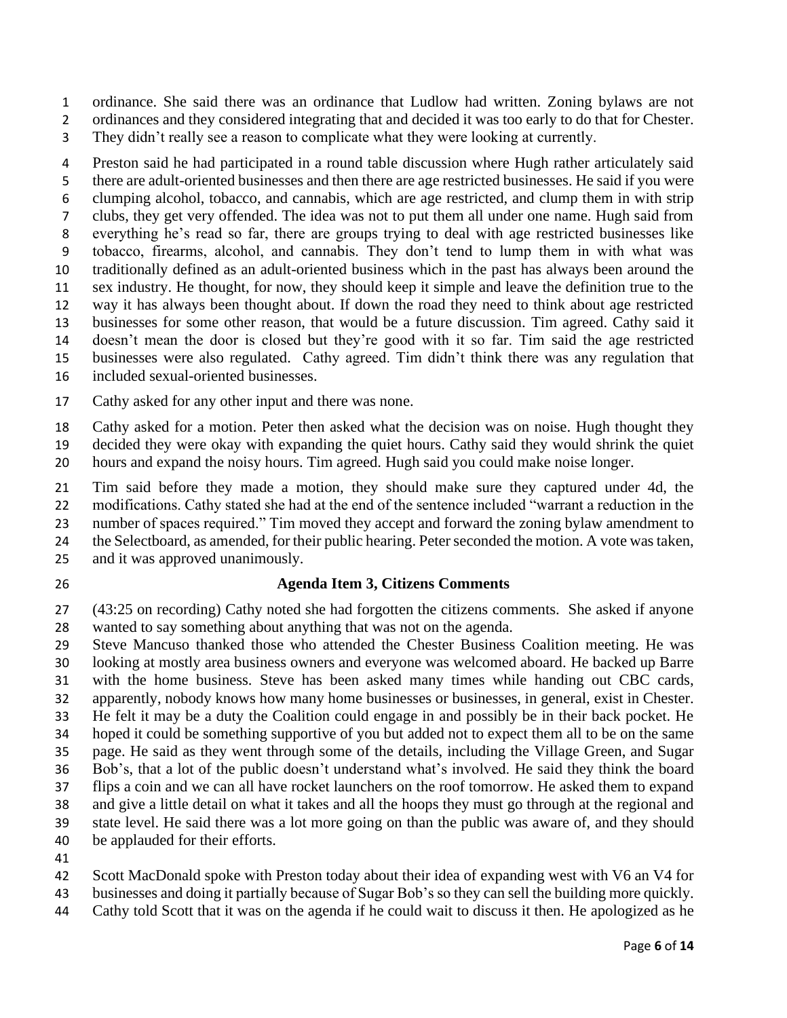ordinance. She said there was an ordinance that Ludlow had written. Zoning bylaws are not

 ordinances and they considered integrating that and decided it was too early to do that for Chester. They didn't really see a reason to complicate what they were looking at currently.

 Preston said he had participated in a round table discussion where Hugh rather articulately said there are adult-oriented businesses and then there are age restricted businesses. He said if you were clumping alcohol, tobacco, and cannabis, which are age restricted, and clump them in with strip clubs, they get very offended. The idea was not to put them all under one name. Hugh said from everything he's read so far, there are groups trying to deal with age restricted businesses like tobacco, firearms, alcohol, and cannabis. They don't tend to lump them in with what was traditionally defined as an adult-oriented business which in the past has always been around the sex industry. He thought, for now, they should keep it simple and leave the definition true to the way it has always been thought about. If down the road they need to think about age restricted businesses for some other reason, that would be a future discussion. Tim agreed. Cathy said it doesn't mean the door is closed but they're good with it so far. Tim said the age restricted businesses were also regulated. Cathy agreed. Tim didn't think there was any regulation that included sexual-oriented businesses.

Cathy asked for any other input and there was none.

Cathy asked for a motion. Peter then asked what the decision was on noise. Hugh thought they

decided they were okay with expanding the quiet hours. Cathy said they would shrink the quiet

hours and expand the noisy hours. Tim agreed. Hugh said you could make noise longer.

 Tim said before they made a motion, they should make sure they captured under 4d, the modifications. Cathy stated she had at the end of the sentence included "warrant a reduction in the

number of spaces required." Tim moved they accept and forward the zoning bylaw amendment to

the Selectboard, as amended, for their public hearing. Peter seconded the motion. A vote was taken,

and it was approved unanimously.

# **Agenda Item 3, Citizens Comments**

 (43:25 on recording) Cathy noted she had forgotten the citizens comments. She asked if anyone wanted to say something about anything that was not on the agenda.

- Steve Mancuso thanked those who attended the Chester Business Coalition meeting. He was looking at mostly area business owners and everyone was welcomed aboard. He backed up Barre with the home business. Steve has been asked many times while handing out CBC cards, apparently, nobody knows how many home businesses or businesses, in general, exist in Chester. He felt it may be a duty the Coalition could engage in and possibly be in their back pocket. He hoped it could be something supportive of you but added not to expect them all to be on the same page. He said as they went through some of the details, including the Village Green, and Sugar Bob's, that a lot of the public doesn't understand what's involved. He said they think the board flips a coin and we can all have rocket launchers on the roof tomorrow. He asked them to expand and give a little detail on what it takes and all the hoops they must go through at the regional and state level. He said there was a lot more going on than the public was aware of, and they should
- be applauded for their efforts.

Scott MacDonald spoke with Preston today about their idea of expanding west with V6 an V4 for

businesses and doing it partially because of Sugar Bob's so they can sell the building more quickly.

Cathy told Scott that it was on the agenda if he could wait to discuss it then. He apologized as he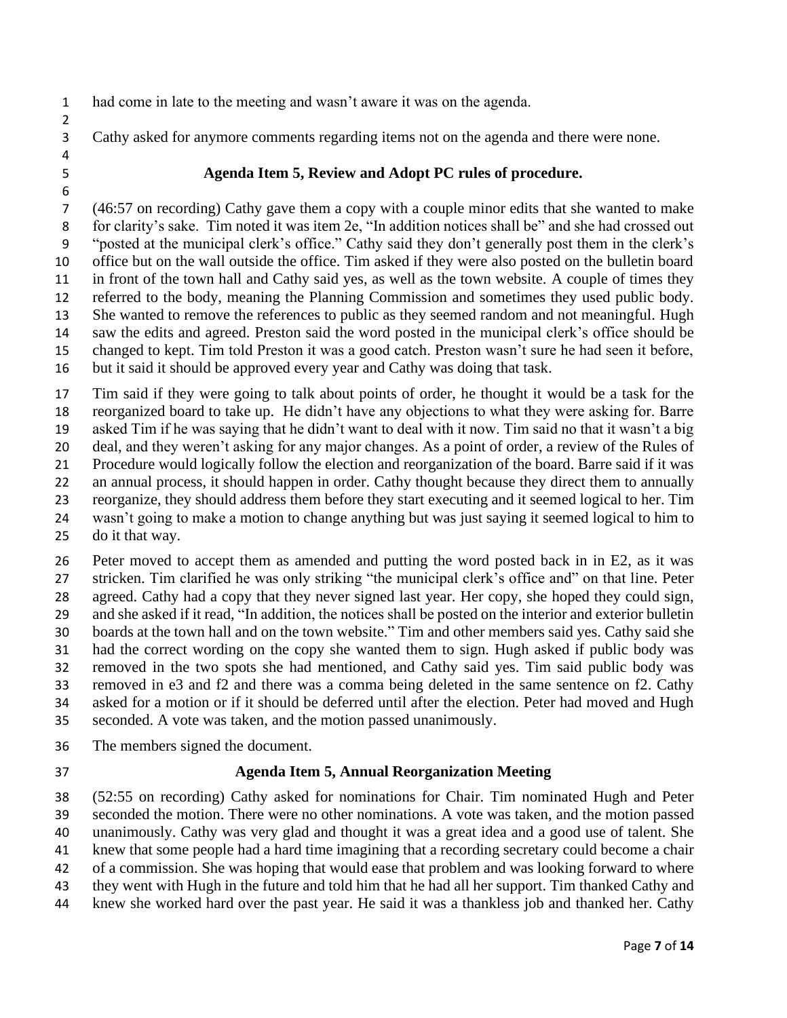had come in late to the meeting and wasn't aware it was on the agenda.

Cathy asked for anymore comments regarding items not on the agenda and there were none.

 

### **Agenda Item 5, Review and Adopt PC rules of procedure.**

 (46:57 on recording) Cathy gave them a copy with a couple minor edits that she wanted to make for clarity's sake. Tim noted it was item 2e, "In addition notices shall be" and she had crossed out "posted at the municipal clerk's office." Cathy said they don't generally post them in the clerk's office but on the wall outside the office. Tim asked if they were also posted on the bulletin board in front of the town hall and Cathy said yes, as well as the town website. A couple of times they referred to the body, meaning the Planning Commission and sometimes they used public body. She wanted to remove the references to public as they seemed random and not meaningful. Hugh saw the edits and agreed. Preston said the word posted in the municipal clerk's office should be changed to kept. Tim told Preston it was a good catch. Preston wasn't sure he had seen it before, but it said it should be approved every year and Cathy was doing that task.

 Tim said if they were going to talk about points of order, he thought it would be a task for the reorganized board to take up. He didn't have any objections to what they were asking for. Barre asked Tim if he was saying that he didn't want to deal with it now. Tim said no that it wasn't a big deal, and they weren't asking for any major changes. As a point of order, a review of the Rules of Procedure would logically follow the election and reorganization of the board. Barre said if it was 22 an annual process, it should happen in order. Cathy thought because they direct them to annually reorganize, they should address them before they start executing and it seemed logical to her. Tim wasn't going to make a motion to change anything but was just saying it seemed logical to him to do it that way.

 Peter moved to accept them as amended and putting the word posted back in in E2, as it was stricken. Tim clarified he was only striking "the municipal clerk's office and" on that line. Peter agreed. Cathy had a copy that they never signed last year. Her copy, she hoped they could sign, and she asked if it read, "In addition, the notices shall be posted on the interior and exterior bulletin boards at the town hall and on the town website." Tim and other members said yes. Cathy said she had the correct wording on the copy she wanted them to sign. Hugh asked if public body was removed in the two spots she had mentioned, and Cathy said yes. Tim said public body was removed in e3 and f2 and there was a comma being deleted in the same sentence on f2. Cathy asked for a motion or if it should be deferred until after the election. Peter had moved and Hugh seconded. A vote was taken, and the motion passed unanimously.

- The members signed the document.
- 

# **Agenda Item 5, Annual Reorganization Meeting**

 (52:55 on recording) Cathy asked for nominations for Chair. Tim nominated Hugh and Peter seconded the motion. There were no other nominations. A vote was taken, and the motion passed unanimously. Cathy was very glad and thought it was a great idea and a good use of talent. She knew that some people had a hard time imagining that a recording secretary could become a chair of a commission. She was hoping that would ease that problem and was looking forward to where they went with Hugh in the future and told him that he had all her support. Tim thanked Cathy and

knew she worked hard over the past year. He said it was a thankless job and thanked her. Cathy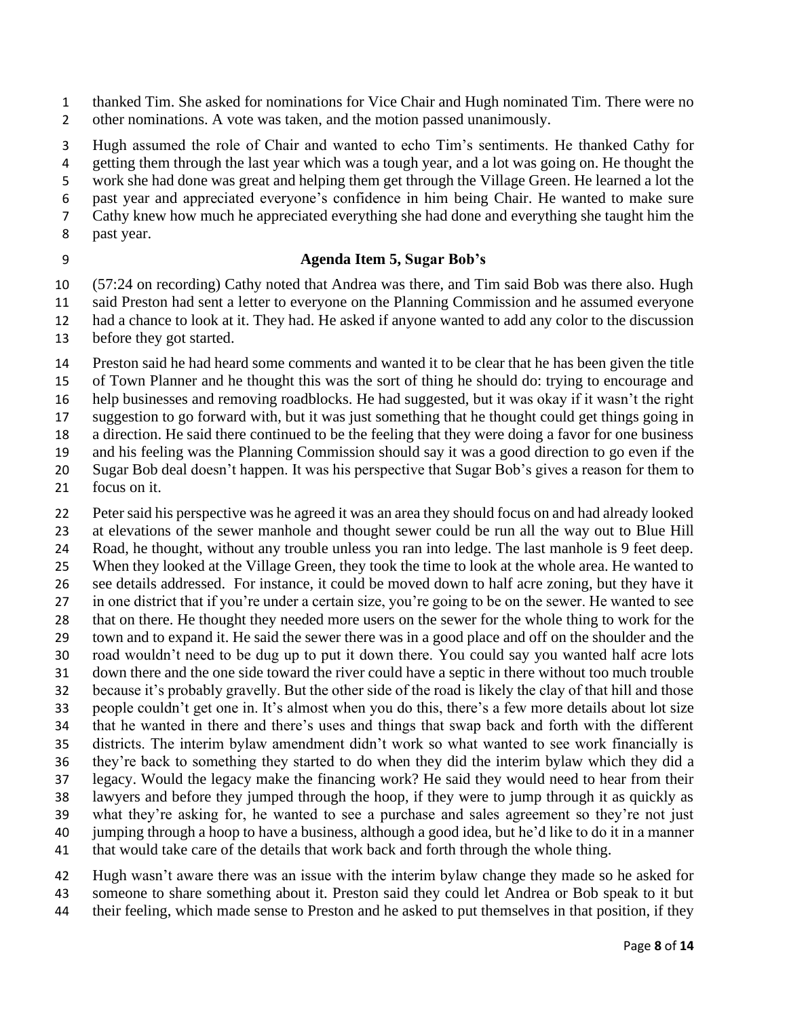thanked Tim. She asked for nominations for Vice Chair and Hugh nominated Tim. There were no 2 other nominations. A vote was taken, and the motion passed unanimously.

 Hugh assumed the role of Chair and wanted to echo Tim's sentiments. He thanked Cathy for getting them through the last year which was a tough year, and a lot was going on. He thought the work she had done was great and helping them get through the Village Green. He learned a lot the past year and appreciated everyone's confidence in him being Chair. He wanted to make sure

- Cathy knew how much he appreciated everything she had done and everything she taught him the
- past year.

# **Agenda Item 5, Sugar Bob's**

 (57:24 on recording) Cathy noted that Andrea was there, and Tim said Bob was there also. Hugh said Preston had sent a letter to everyone on the Planning Commission and he assumed everyone had a chance to look at it. They had. He asked if anyone wanted to add any color to the discussion

before they got started.

 Preston said he had heard some comments and wanted it to be clear that he has been given the title of Town Planner and he thought this was the sort of thing he should do: trying to encourage and help businesses and removing roadblocks. He had suggested, but it was okay if it wasn't the right suggestion to go forward with, but it was just something that he thought could get things going in a direction. He said there continued to be the feeling that they were doing a favor for one business and his feeling was the Planning Commission should say it was a good direction to go even if the Sugar Bob deal doesn't happen. It was his perspective that Sugar Bob's gives a reason for them to

focus on it.

 Peter said his perspective was he agreed it was an area they should focus on and had already looked at elevations of the sewer manhole and thought sewer could be run all the way out to Blue Hill Road, he thought, without any trouble unless you ran into ledge. The last manhole is 9 feet deep. When they looked at the Village Green, they took the time to look at the whole area. He wanted to see details addressed. For instance, it could be moved down to half acre zoning, but they have it in one district that if you're under a certain size, you're going to be on the sewer. He wanted to see that on there. He thought they needed more users on the sewer for the whole thing to work for the town and to expand it. He said the sewer there was in a good place and off on the shoulder and the road wouldn't need to be dug up to put it down there. You could say you wanted half acre lots down there and the one side toward the river could have a septic in there without too much trouble because it's probably gravelly. But the other side of the road is likely the clay of that hill and those people couldn't get one in. It's almost when you do this, there's a few more details about lot size that he wanted in there and there's uses and things that swap back and forth with the different districts. The interim bylaw amendment didn't work so what wanted to see work financially is they're back to something they started to do when they did the interim bylaw which they did a legacy. Would the legacy make the financing work? He said they would need to hear from their lawyers and before they jumped through the hoop, if they were to jump through it as quickly as what they're asking for, he wanted to see a purchase and sales agreement so they're not just jumping through a hoop to have a business, although a good idea, but he'd like to do it in a manner that would take care of the details that work back and forth through the whole thing.

 Hugh wasn't aware there was an issue with the interim bylaw change they made so he asked for someone to share something about it. Preston said they could let Andrea or Bob speak to it but their feeling, which made sense to Preston and he asked to put themselves in that position, if they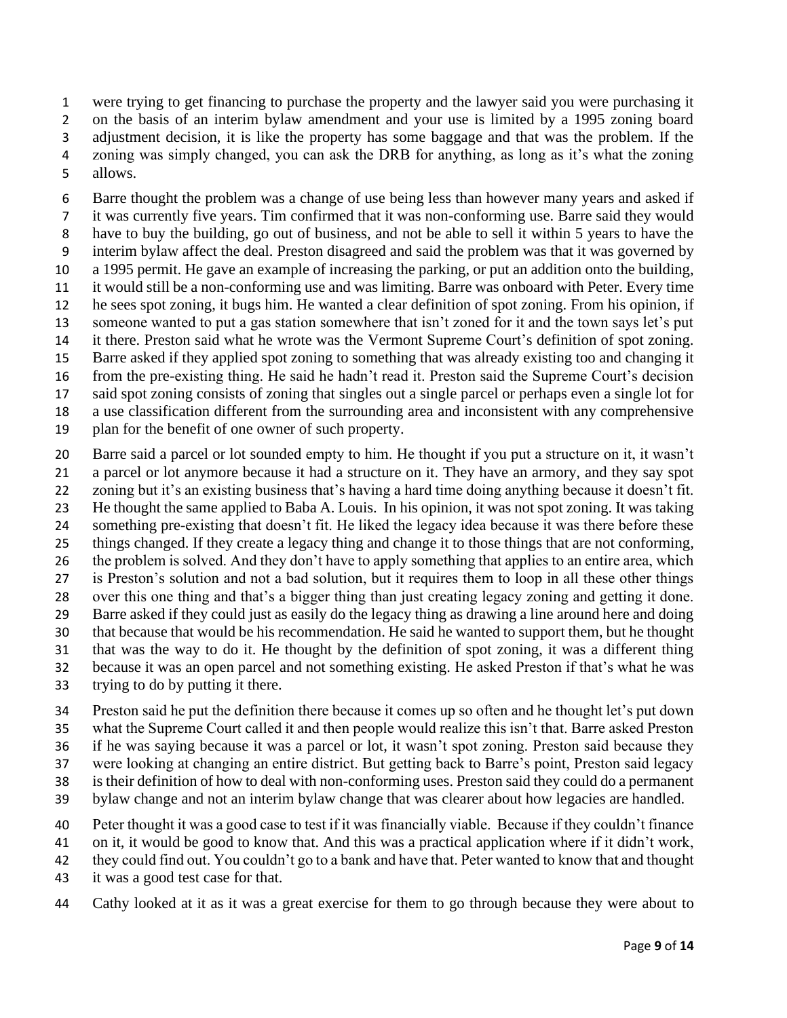were trying to get financing to purchase the property and the lawyer said you were purchasing it on the basis of an interim bylaw amendment and your use is limited by a 1995 zoning board adjustment decision, it is like the property has some baggage and that was the problem. If the zoning was simply changed, you can ask the DRB for anything, as long as it's what the zoning

allows.

 Barre thought the problem was a change of use being less than however many years and asked if it was currently five years. Tim confirmed that it was non-conforming use. Barre said they would have to buy the building, go out of business, and not be able to sell it within 5 years to have the interim bylaw affect the deal. Preston disagreed and said the problem was that it was governed by a 1995 permit. He gave an example of increasing the parking, or put an addition onto the building, it would still be a non-conforming use and was limiting. Barre was onboard with Peter. Every time he sees spot zoning, it bugs him. He wanted a clear definition of spot zoning. From his opinion, if someone wanted to put a gas station somewhere that isn't zoned for it and the town says let's put it there. Preston said what he wrote was the Vermont Supreme Court's definition of spot zoning. Barre asked if they applied spot zoning to something that was already existing too and changing it from the pre-existing thing. He said he hadn't read it. Preston said the Supreme Court's decision said spot zoning consists of zoning that singles out a single parcel or perhaps even a single lot for a use classification different from the surrounding area and inconsistent with any comprehensive plan for the benefit of one owner of such property.

 Barre said a parcel or lot sounded empty to him. He thought if you put a structure on it, it wasn't a parcel or lot anymore because it had a structure on it. They have an armory, and they say spot zoning but it's an existing business that's having a hard time doing anything because it doesn't fit. He thought the same applied to Baba A. Louis. In his opinion, it was not spot zoning. It was taking something pre-existing that doesn't fit. He liked the legacy idea because it was there before these things changed. If they create a legacy thing and change it to those things that are not conforming, 26 the problem is solved. And they don't have to apply something that applies to an entire area, which is Preston's solution and not a bad solution, but it requires them to loop in all these other things over this one thing and that's a bigger thing than just creating legacy zoning and getting it done. Barre asked if they could just as easily do the legacy thing as drawing a line around here and doing that because that would be his recommendation. He said he wanted to support them, but he thought that was the way to do it. He thought by the definition of spot zoning, it was a different thing because it was an open parcel and not something existing. He asked Preston if that's what he was

trying to do by putting it there.

 Preston said he put the definition there because it comes up so often and he thought let's put down what the Supreme Court called it and then people would realize this isn't that. Barre asked Preston if he was saying because it was a parcel or lot, it wasn't spot zoning. Preston said because they

were looking at changing an entire district. But getting back to Barre's point, Preston said legacy

is their definition of how to deal with non-conforming uses. Preston said they could do a permanent

bylaw change and not an interim bylaw change that was clearer about how legacies are handled.

Peter thought it was a good case to test if it was financially viable. Because if they couldn't finance

on it, it would be good to know that. And this was a practical application where if it didn't work,

they could find out. You couldn't go to a bank and have that. Peter wanted to know that and thought

it was a good test case for that.

Cathy looked at it as it was a great exercise for them to go through because they were about to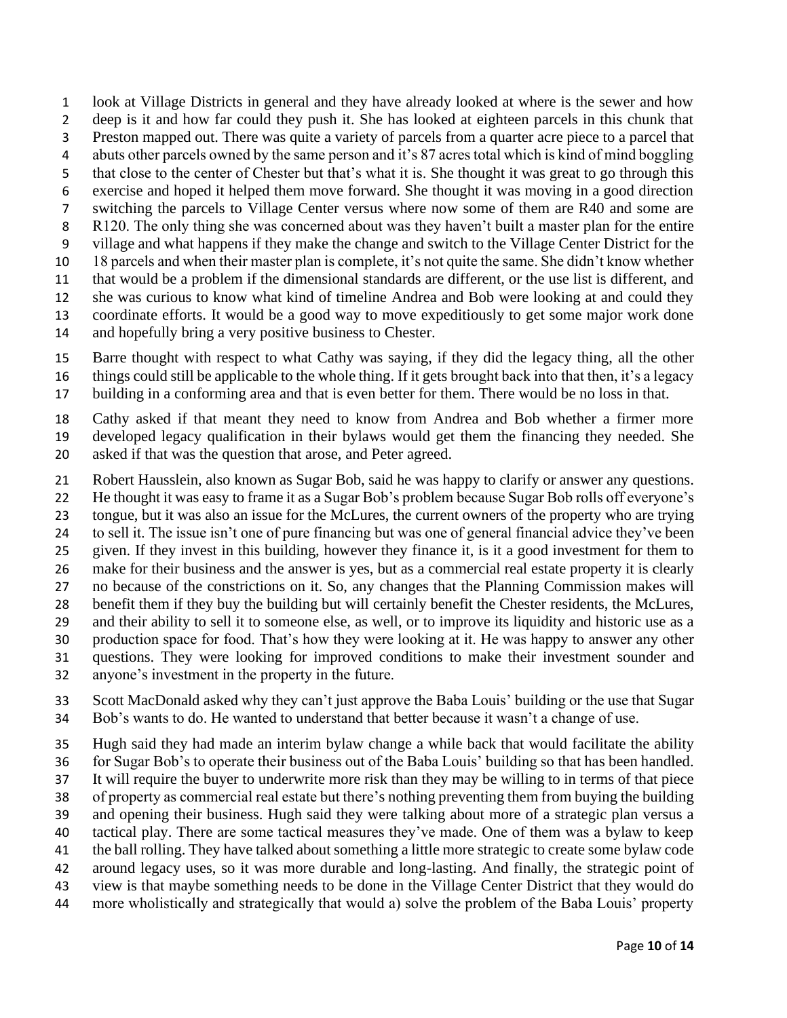look at Village Districts in general and they have already looked at where is the sewer and how deep is it and how far could they push it. She has looked at eighteen parcels in this chunk that Preston mapped out. There was quite a variety of parcels from a quarter acre piece to a parcel that abuts other parcels owned by the same person and it's 87 acres total which is kind of mind boggling that close to the center of Chester but that's what it is. She thought it was great to go through this exercise and hoped it helped them move forward. She thought it was moving in a good direction switching the parcels to Village Center versus where now some of them are R40 and some are 8 R120. The only thing she was concerned about was they haven't built a master plan for the entire village and what happens if they make the change and switch to the Village Center District for the 18 parcels and when their master plan is complete, it's not quite the same. She didn't know whether that would be a problem if the dimensional standards are different, or the use list is different, and she was curious to know what kind of timeline Andrea and Bob were looking at and could they coordinate efforts. It would be a good way to move expeditiously to get some major work done and hopefully bring a very positive business to Chester.

 Barre thought with respect to what Cathy was saying, if they did the legacy thing, all the other things could still be applicable to the whole thing. If it gets brought back into that then, it's a legacy

building in a conforming area and that is even better for them. There would be no loss in that.

 Cathy asked if that meant they need to know from Andrea and Bob whether a firmer more developed legacy qualification in their bylaws would get them the financing they needed. She asked if that was the question that arose, and Peter agreed.

Robert Hausslein, also known as Sugar Bob, said he was happy to clarify or answer any questions.

He thought it was easy to frame it as a Sugar Bob's problem because Sugar Bob rolls off everyone's

tongue, but it was also an issue for the McLures, the current owners of the property who are trying

to sell it. The issue isn't one of pure financing but was one of general financial advice they've been

given. If they invest in this building, however they finance it, is it a good investment for them to

make for their business and the answer is yes, but as a commercial real estate property it is clearly

no because of the constrictions on it. So, any changes that the Planning Commission makes will

benefit them if they buy the building but will certainly benefit the Chester residents, the McLures,

 and their ability to sell it to someone else, as well, or to improve its liquidity and historic use as a production space for food. That's how they were looking at it. He was happy to answer any other

questions. They were looking for improved conditions to make their investment sounder and

anyone's investment in the property in the future.

 Scott MacDonald asked why they can't just approve the Baba Louis' building or the use that Sugar Bob's wants to do. He wanted to understand that better because it wasn't a change of use.

Hugh said they had made an interim bylaw change a while back that would facilitate the ability

for Sugar Bob's to operate their business out of the Baba Louis' building so that has been handled.

It will require the buyer to underwrite more risk than they may be willing to in terms of that piece

of property as commercial real estate but there's nothing preventing them from buying the building

and opening their business. Hugh said they were talking about more of a strategic plan versus a

 tactical play. There are some tactical measures they've made. One of them was a bylaw to keep the ball rolling. They have talked about something a little more strategic to create some bylaw code

around legacy uses, so it was more durable and long-lasting. And finally, the strategic point of

- view is that maybe something needs to be done in the Village Center District that they would do
- more wholistically and strategically that would a) solve the problem of the Baba Louis' property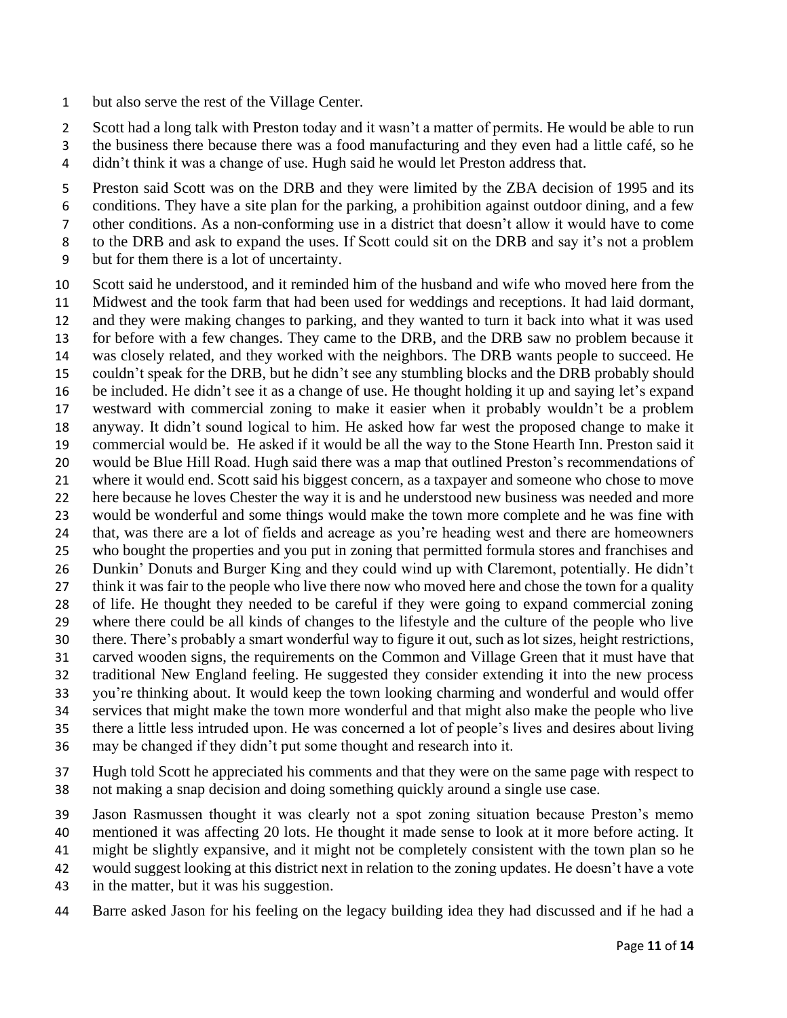but also serve the rest of the Village Center.

2 Scott had a long talk with Preston today and it wasn't a matter of permits. He would be able to run

- the business there because there was a food manufacturing and they even had a little café, so he
- didn't think it was a change of use. Hugh said he would let Preston address that.

 Preston said Scott was on the DRB and they were limited by the ZBA decision of 1995 and its conditions. They have a site plan for the parking, a prohibition against outdoor dining, and a few other conditions. As a non-conforming use in a district that doesn't allow it would have to come

- to the DRB and ask to expand the uses. If Scott could sit on the DRB and say it's not a problem
- but for them there is a lot of uncertainty.

 Scott said he understood, and it reminded him of the husband and wife who moved here from the Midwest and the took farm that had been used for weddings and receptions. It had laid dormant, and they were making changes to parking, and they wanted to turn it back into what it was used for before with a few changes. They came to the DRB, and the DRB saw no problem because it was closely related, and they worked with the neighbors. The DRB wants people to succeed. He couldn't speak for the DRB, but he didn't see any stumbling blocks and the DRB probably should be included. He didn't see it as a change of use. He thought holding it up and saying let's expand westward with commercial zoning to make it easier when it probably wouldn't be a problem anyway. It didn't sound logical to him. He asked how far west the proposed change to make it commercial would be. He asked if it would be all the way to the Stone Hearth Inn. Preston said it would be Blue Hill Road. Hugh said there was a map that outlined Preston's recommendations of where it would end. Scott said his biggest concern, as a taxpayer and someone who chose to move here because he loves Chester the way it is and he understood new business was needed and more would be wonderful and some things would make the town more complete and he was fine with that, was there are a lot of fields and acreage as you're heading west and there are homeowners who bought the properties and you put in zoning that permitted formula stores and franchises and Dunkin' Donuts and Burger King and they could wind up with Claremont, potentially. He didn't think it was fair to the people who live there now who moved here and chose the town for a quality of life. He thought they needed to be careful if they were going to expand commercial zoning where there could be all kinds of changes to the lifestyle and the culture of the people who live there. There's probably a smart wonderful way to figure it out, such as lot sizes, height restrictions, carved wooden signs, the requirements on the Common and Village Green that it must have that traditional New England feeling. He suggested they consider extending it into the new process you're thinking about. It would keep the town looking charming and wonderful and would offer services that might make the town more wonderful and that might also make the people who live there a little less intruded upon. He was concerned a lot of people's lives and desires about living may be changed if they didn't put some thought and research into it.

 Hugh told Scott he appreciated his comments and that they were on the same page with respect to not making a snap decision and doing something quickly around a single use case.

Jason Rasmussen thought it was clearly not a spot zoning situation because Preston's memo

mentioned it was affecting 20 lots. He thought it made sense to look at it more before acting. It

might be slightly expansive, and it might not be completely consistent with the town plan so he

would suggest looking at this district next in relation to the zoning updates. He doesn't have a vote

- in the matter, but it was his suggestion.
- Barre asked Jason for his feeling on the legacy building idea they had discussed and if he had a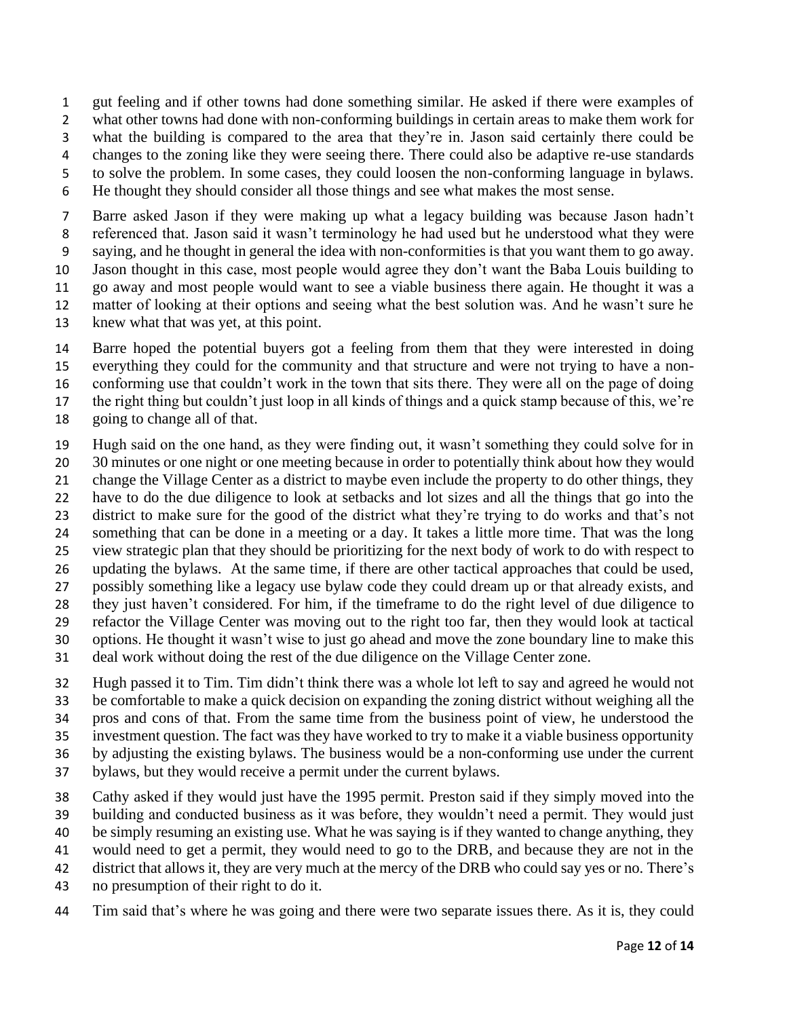gut feeling and if other towns had done something similar. He asked if there were examples of what other towns had done with non-conforming buildings in certain areas to make them work for what the building is compared to the area that they're in. Jason said certainly there could be changes to the zoning like they were seeing there. There could also be adaptive re-use standards to solve the problem. In some cases, they could loosen the non-conforming language in bylaws.

He thought they should consider all those things and see what makes the most sense.

 Barre asked Jason if they were making up what a legacy building was because Jason hadn't referenced that. Jason said it wasn't terminology he had used but he understood what they were saying, and he thought in general the idea with non-conformities is that you want them to go away. Jason thought in this case, most people would agree they don't want the Baba Louis building to go away and most people would want to see a viable business there again. He thought it was a matter of looking at their options and seeing what the best solution was. And he wasn't sure he

knew what that was yet, at this point.

 Barre hoped the potential buyers got a feeling from them that they were interested in doing everything they could for the community and that structure and were not trying to have a non-conforming use that couldn't work in the town that sits there. They were all on the page of doing

the right thing but couldn't just loop in all kinds of things and a quick stamp because of this, we're

going to change all of that.

Hugh said on the one hand, as they were finding out, it wasn't something they could solve for in

- 20 30 minutes or one night or one meeting because in order to potentially think about how they would
- change the Village Center as a district to maybe even include the property to do other things, they
- have to do the due diligence to look at setbacks and lot sizes and all the things that go into the
- district to make sure for the good of the district what they're trying to do works and that's not
- something that can be done in a meeting or a day. It takes a little more time. That was the long
- view strategic plan that they should be prioritizing for the next body of work to do with respect to updating the bylaws. At the same time, if there are other tactical approaches that could be used,
- possibly something like a legacy use bylaw code they could dream up or that already exists, and
- they just haven't considered. For him, if the timeframe to do the right level of due diligence to
- refactor the Village Center was moving out to the right too far, then they would look at tactical
- options. He thought it wasn't wise to just go ahead and move the zone boundary line to make this
- deal work without doing the rest of the due diligence on the Village Center zone.
- Hugh passed it to Tim. Tim didn't think there was a whole lot left to say and agreed he would not be comfortable to make a quick decision on expanding the zoning district without weighing all the
- pros and cons of that. From the same time from the business point of view, he understood the
- investment question. The fact was they have worked to try to make it a viable business opportunity
- by adjusting the existing bylaws. The business would be a non-conforming use under the current
- bylaws, but they would receive a permit under the current bylaws.
- Cathy asked if they would just have the 1995 permit. Preston said if they simply moved into the
- building and conducted business as it was before, they wouldn't need a permit. They would just
- be simply resuming an existing use. What he was saying is if they wanted to change anything, they
- would need to get a permit, they would need to go to the DRB, and because they are not in the
- district that allows it, they are very much at the mercy of the DRB who could say yes or no. There's
- no presumption of their right to do it.
- Tim said that's where he was going and there were two separate issues there. As it is, they could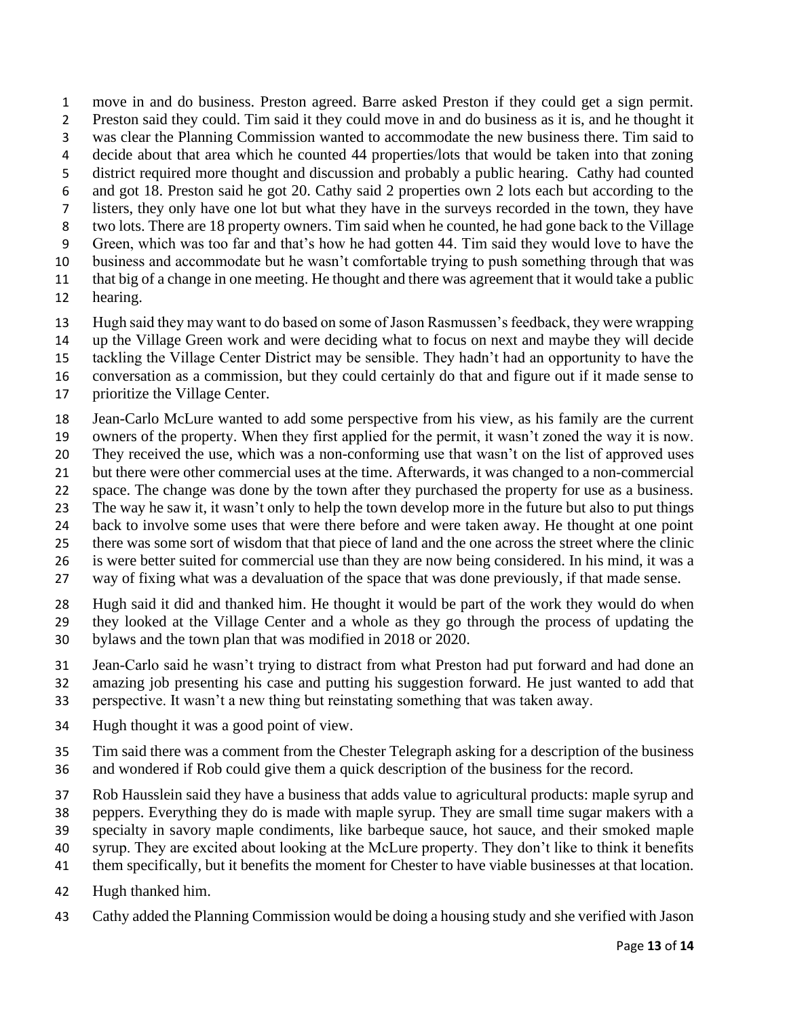move in and do business. Preston agreed. Barre asked Preston if they could get a sign permit. Preston said they could. Tim said it they could move in and do business as it is, and he thought it was clear the Planning Commission wanted to accommodate the new business there. Tim said to decide about that area which he counted 44 properties/lots that would be taken into that zoning district required more thought and discussion and probably a public hearing. Cathy had counted and got 18. Preston said he got 20. Cathy said 2 properties own 2 lots each but according to the listers, they only have one lot but what they have in the surveys recorded in the town, they have two lots. There are 18 property owners. Tim said when he counted, he had gone back to the Village Green, which was too far and that's how he had gotten 44. Tim said they would love to have the business and accommodate but he wasn't comfortable trying to push something through that was that big of a change in one meeting. He thought and there was agreement that it would take a public hearing.

- Hugh said they may want to do based on some of Jason Rasmussen's feedback, they were wrapping up the Village Green work and were deciding what to focus on next and maybe they will decide
- tackling the Village Center District may be sensible. They hadn't had an opportunity to have the
- conversation as a commission, but they could certainly do that and figure out if it made sense to
- prioritize the Village Center.
- Jean-Carlo McLure wanted to add some perspective from his view, as his family are the current
- owners of the property. When they first applied for the permit, it wasn't zoned the way it is now.
- They received the use, which was a non-conforming use that wasn't on the list of approved uses
- but there were other commercial uses at the time. Afterwards, it was changed to a non-commercial
- space. The change was done by the town after they purchased the property for use as a business. The way he saw it, it wasn't only to help the town develop more in the future but also to put things
- back to involve some uses that were there before and were taken away. He thought at one point
- there was some sort of wisdom that that piece of land and the one across the street where the clinic
- is were better suited for commercial use than they are now being considered. In his mind, it was a
- way of fixing what was a devaluation of the space that was done previously, if that made sense.
- Hugh said it did and thanked him. He thought it would be part of the work they would do when they looked at the Village Center and a whole as they go through the process of updating the
- bylaws and the town plan that was modified in 2018 or 2020.
- Jean-Carlo said he wasn't trying to distract from what Preston had put forward and had done an amazing job presenting his case and putting his suggestion forward. He just wanted to add that
- perspective. It wasn't a new thing but reinstating something that was taken away.
- Hugh thought it was a good point of view.
- Tim said there was a comment from the Chester Telegraph asking for a description of the business
- and wondered if Rob could give them a quick description of the business for the record.
- Rob Hausslein said they have a business that adds value to agricultural products: maple syrup and
- peppers. Everything they do is made with maple syrup. They are small time sugar makers with a
- specialty in savory maple condiments, like barbeque sauce, hot sauce, and their smoked maple
- syrup. They are excited about looking at the McLure property. They don't like to think it benefits
- them specifically, but it benefits the moment for Chester to have viable businesses at that location.
- Hugh thanked him.
- Cathy added the Planning Commission would be doing a housing study and she verified with Jason